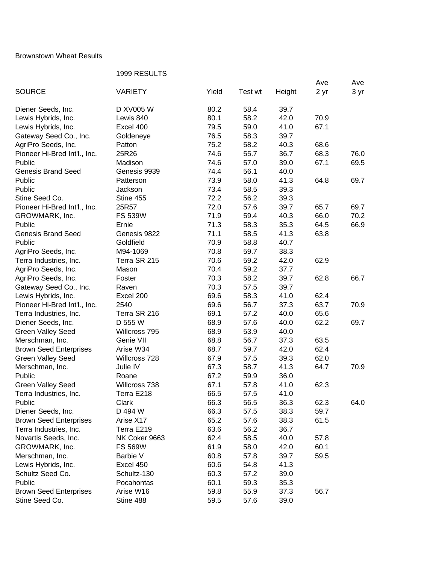## Brownstown Wheat Results

## 1999 RESULTS

|                               | <b>1999 NEOULTO</b> |       |         |        |      |      |
|-------------------------------|---------------------|-------|---------|--------|------|------|
| <b>SOURCE</b>                 | <b>VARIETY</b>      | Yield | Test wt |        | Ave  | Ave  |
|                               |                     |       |         | Height | 2 yr | 3 yr |
| Diener Seeds, Inc.            | D XV005 W           | 80.2  | 58.4    | 39.7   |      |      |
| Lewis Hybrids, Inc.           | Lewis 840           | 80.1  | 58.2    | 42.0   | 70.9 |      |
| Lewis Hybrids, Inc.           | Excel 400           | 79.5  | 59.0    | 41.0   | 67.1 |      |
| Gateway Seed Co., Inc.        | Goldeneye           | 76.5  | 58.3    | 39.7   |      |      |
| AgriPro Seeds, Inc.           | Patton              | 75.2  | 58.2    | 40.3   | 68.6 |      |
| Pioneer Hi-Bred Int'l., Inc.  | 25R26               | 74.6  | 55.7    | 36.7   | 68.3 | 76.0 |
| Public                        | Madison             | 74.6  | 57.0    | 39.0   | 67.1 | 69.5 |
| <b>Genesis Brand Seed</b>     | Genesis 9939        | 74.4  | 56.1    | 40.0   |      |      |
| Public                        | Patterson           | 73.9  | 58.0    | 41.3   | 64.8 | 69.7 |
| Public                        | Jackson             | 73.4  | 58.5    | 39.3   |      |      |
| Stine Seed Co.                |                     | 72.2  | 56.2    | 39.3   |      |      |
|                               | Stine 455           |       |         |        |      |      |
| Pioneer Hi-Bred Int'l., Inc.  | 25R57               | 72.0  | 57.6    | 39.7   | 65.7 | 69.7 |
| GROWMARK, Inc.                | <b>FS 539W</b>      | 71.9  | 59.4    | 40.3   | 66.0 | 70.2 |
| Public                        | Ernie               | 71.3  | 58.3    | 35.3   | 64.5 | 66.9 |
| <b>Genesis Brand Seed</b>     | Genesis 9822        | 71.1  | 58.5    | 41.3   | 63.8 |      |
| Public                        | Goldfield           | 70.9  | 58.8    | 40.7   |      |      |
| AgriPro Seeds, Inc.           | M94-1069            | 70.8  | 59.7    | 38.3   |      |      |
| Terra Industries, Inc.        | Terra SR 215        | 70.6  | 59.2    | 42.0   | 62.9 |      |
| AgriPro Seeds, Inc.           | Mason               | 70.4  | 59.2    | 37.7   |      |      |
| AgriPro Seeds, Inc.           | Foster              | 70.3  | 58.2    | 39.7   | 62.8 | 66.7 |
| Gateway Seed Co., Inc.        | Raven               | 70.3  | 57.5    | 39.7   |      |      |
| Lewis Hybrids, Inc.           | Excel 200           | 69.6  | 58.3    | 41.0   | 62.4 |      |
| Pioneer Hi-Bred Int'l., Inc.  | 2540                | 69.6  | 56.7    | 37.3   | 63.7 | 70.9 |
| Terra Industries, Inc.        | Terra SR 216        | 69.1  | 57.2    | 40.0   | 65.6 |      |
| Diener Seeds, Inc.            | D 555 W             | 68.9  | 57.6    | 40.0   | 62.2 | 69.7 |
| <b>Green Valley Seed</b>      | Willcross 795       | 68.9  | 53.9    | 40.0   |      |      |
| Merschman, Inc.               | Genie VII           | 68.8  | 56.7    | 37.3   | 63.5 |      |
| <b>Brown Seed Enterprises</b> | Arise W34           | 68.7  | 59.7    | 42.0   | 62.4 |      |
| <b>Green Valley Seed</b>      | Willcross 728       | 67.9  | 57.5    | 39.3   | 62.0 |      |
| Merschman, Inc.               | Julie IV            | 67.3  | 58.7    | 41.3   | 64.7 | 70.9 |
| Public                        | Roane               | 67.2  | 59.9    | 36.0   |      |      |
| <b>Green Valley Seed</b>      | Willcross 738       | 67.1  | 57.8    | 41.0   | 62.3 |      |
| Terra Industries, Inc.        | Terra E218          | 66.5  | 57.5    | 41.0   |      |      |
| Public                        | Clark               | 66.3  | 56.5    | 36.3   | 62.3 | 64.0 |
| Diener Seeds, Inc.            | D 494 W             | 66.3  | 57.5    | 38.3   | 59.7 |      |
| <b>Brown Seed Enterprises</b> | Arise X17           | 65.2  | 57.6    | 38.3   | 61.5 |      |
| Terra Industries, Inc.        | Terra E219          | 63.6  | 56.2    | 36.7   |      |      |
| Novartis Seeds, Inc.          | NK Coker 9663       | 62.4  | 58.5    | 40.0   | 57.8 |      |
| GROWMARK, Inc.                | <b>FS 569W</b>      | 61.9  | 58.0    | 42.0   | 60.1 |      |
| Merschman, Inc.               | Barbie V            | 60.8  | 57.8    | 39.7   | 59.5 |      |
| Lewis Hybrids, Inc.           | Excel 450           | 60.6  | 54.8    | 41.3   |      |      |
| Schultz Seed Co.              | Schultz-130         | 60.3  | 57.2    | 39.0   |      |      |
| Public                        | Pocahontas          | 60.1  | 59.3    | 35.3   |      |      |
|                               |                     | 59.8  |         |        |      |      |
| <b>Brown Seed Enterprises</b> | Arise W16           |       | 55.9    | 37.3   | 56.7 |      |
| Stine Seed Co.                | Stine 488           | 59.5  | 57.6    | 39.0   |      |      |